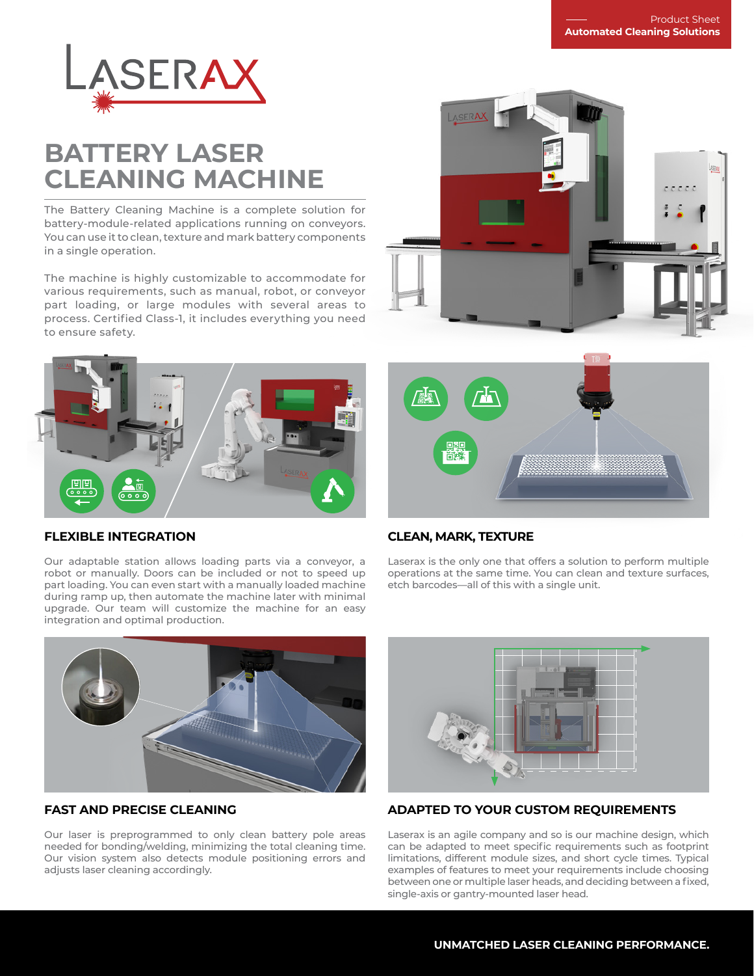

# **BATTERY LASER CLEANING MACHINE**

The Battery Cleaning Machine is a complete solution for battery-module-related applications running on conveyors. You can use it to clean, texture and mark battery components in a single operation.

The machine is highly customizable to accommodate for various requirements, such as manual, robot, or conveyor part loading, or large modules with several areas to process. Certified Class-1, it includes everything you need to ensure safety.





# 75

### **FLEXIBLE INTEGRATION**

Our adaptable station allows loading parts via a conveyor, a robot or manually. Doors can be included or not to speed up part loading. You can even start with a manually loaded machine during ramp up, then automate the machine later with minimal upgrade. Our team will customize the machine for an easy integration and optimal production.

## **CLEAN, MARK, TEXTURE**

Laserax is the only one that offers a solution to perform multiple operations at the same time. You can clean and texture surfaces, etch barcodes—all of this with a single unit.



## **FAST AND PRECISE CLEANING**

Our laser is preprogrammed to only clean battery pole areas needed for bonding/welding, minimizing the total cleaning time. Our vision system also detects module positioning errors and adjusts laser cleaning accordingly.



# **ADAPTED TO YOUR CUSTOM REQUIREMENTS**

Laserax is an agile company and so is our machine design, which can be adapted to meet specific requirements such as footprint limitations, different module sizes, and short cycle times. Typical examples of features to meet your requirements include choosing between one or multiple laser heads, and deciding between a fixed, single-axis or gantry-mounted laser head.